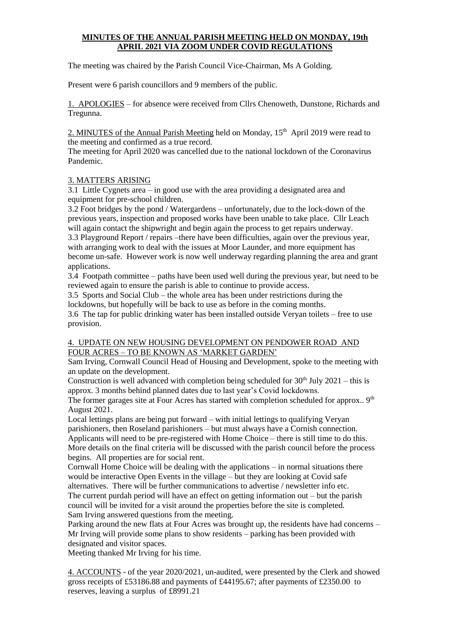# **MINUTES OF THE ANNUAL PARISH MEETING HELD ON MONDAY, 19th APRIL 2021 VIA ZOOM UNDER COVID REGULATIONS**

The meeting was chaired by the Parish Council Vice-Chairman, Ms A Golding.

Present were 6 parish councillors and 9 members of the public.

1. APOLOGIES – for absence were received from Cllrs Chenoweth, Dunstone, Richards and Tregunna.

2. MINUTES of the Annual Parish Meeting held on Monday, 15<sup>th</sup> April 2019 were read to the meeting and confirmed as a true record.

The meeting for April 2020 was cancelled due to the national lockdown of the Coronavirus Pandemic.

## 3. MATTERS ARISING

3.1 Little Cygnets area – in good use with the area providing a designated area and equipment for pre-school children.

3.2 Foot bridges by the pond / Watergardens – unfortunately, due to the lock-down of the previous years, inspection and proposed works have been unable to take place. Cllr Leach will again contact the shipwright and begin again the process to get repairs underway.

3.3 Playground Report / repairs –there have been difficulties, again over the previous year, with arranging work to deal with the issues at Moor Launder, and more equipment has become un-safe. However work is now well underway regarding planning the area and grant applications.

3.4 Footpath committee – paths have been used well during the previous year, but need to be reviewed again to ensure the parish is able to continue to provide access.

3.5 Sports and Social Club – the whole area has been under restrictions during the lockdowns, but hopefully will be back to use as before in the coming months.

3.6 The tap for public drinking water has been installed outside Veryan toilets – free to use provision.

# 4. UPDATE ON NEW HOUSING DEVELOPMENT ON PENDOWER ROAD AND FOUR ACRES – TO BE KNOWN AS 'MARKET GARDEN'

Sam Irving, Cornwall Council Head of Housing and Development, spoke to the meeting with an update on the development.

Construction is well advanced with completion being scheduled for  $30<sup>th</sup>$  July 2021 – this is approx. 3 months behind planned dates due to last year's Covid lockdowns.

The former garages site at Four Acres has started with completion scheduled for approx.. 9<sup>th</sup> August 2021.

Local lettings plans are being put forward – with initial lettings to qualifying Veryan parishioners, then Roseland parishioners – but must always have a Cornish connection. Applicants will need to be pre-registered with Home Choice – there is still time to do this. More details on the final criteria will be discussed with the parish council before the process begins. All properties are for social rent.

Cornwall Home Choice will be dealing with the applications – in normal situations there would be interactive Open Events in the village – but they are looking at Covid safe alternatives. There will be further communications to advertise / newsletter info etc. The current purdah period will have an effect on getting information out  $-$  but the parish

council will be invited for a visit around the properties before the site is completed. Sam Irving answered questions from the meeting.

Parking around the new flats at Four Acres was brought up, the residents have had concerns – Mr Irving will provide some plans to show residents – parking has been provided with designated and visitor spaces.

Meeting thanked Mr Irving for his time.

4. ACCOUNTS - of the year 2020/2021, un-audited, were presented by the Clerk and showed gross receipts of £53186.88 and payments of £44195.67; after payments of £2350.00 to reserves, leaving a surplus of £8991.21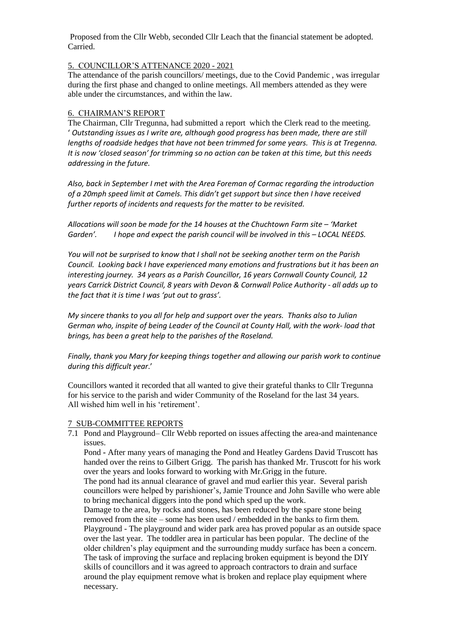Proposed from the Cllr Webb, seconded Cllr Leach that the financial statement be adopted. Carried.

### 5. COUNCILLOR'S ATTENANCE 2020 - 2021

The attendance of the parish councillors/ meetings, due to the Covid Pandemic , was irregular during the first phase and changed to online meetings. All members attended as they were able under the circumstances, and within the law.

## 6. CHAIRMAN'S REPORT

The Chairman, Cllr Tregunna, had submitted a report which the Clerk read to the meeting. ' *Outstanding issues as I write are, although good progress has been made, there are still lengths of roadside hedges that have not been trimmed for some years. This is at Tregenna. It is now 'closed season' for trimming so no action can be taken at this time, but this needs addressing in the future.*

*Also, back in September I met with the Area Foreman of Cormac regarding the introduction of a 20mph speed limit at Camels. This didn't get support but since then I have received further reports of incidents and requests for the matter to be revisited.*

*Allocations will soon be made for the 14 houses at the Chuchtown Farm site – 'Market Garden'. I hope and expect the parish council will be involved in this – LOCAL NEEDS.*

*You will not be surprised to know that I shall not be seeking another term on the Parish Council. Looking back I have experienced many emotions and frustrations but it has been an interesting journey. 34 years as a Parish Councillor, 16 years Cornwall County Council, 12 years Carrick District Council, 8 years with Devon & Cornwall Police Authority - all adds up to the fact that it is time I was 'put out to grass'.*

*My sincere thanks to you all for help and support over the years. Thanks also to Julian German who, inspite of being Leader of the Council at County Hall, with the work- load that brings, has been a great help to the parishes of the Roseland.*

*Finally, thank you Mary for keeping things together and allowing our parish work to continue during this difficult year*.'

Councillors wanted it recorded that all wanted to give their grateful thanks to Cllr Tregunna for his service to the parish and wider Community of the Roseland for the last 34 years. All wished him well in his 'retirement'.

#### 7 SUB-COMMITTEE REPORTS

7.1 Pond and Playground– Cllr Webb reported on issues affecting the area-and maintenance issues.

Pond **-** After many years of managing the Pond and Heatley Gardens David Truscott has handed over the reins to Gilbert Grigg. The parish has thanked Mr. Truscott for his work over the years and looks forward to working with Mr.Grigg in the future.

The pond had its annual clearance of gravel and mud earlier this year. Several parish councillors were helped by parishioner's, Jamie Trounce and John Saville who were able to bring mechanical diggers into the pond which sped up the work.

Damage to the area, by rocks and stones, has been reduced by the spare stone being removed from the site – some has been used / embedded in the banks to firm them. Playground - The playground and wider park area has proved popular as an outside space over the last year. The toddler area in particular has been popular. The decline of the older children's play equipment and the surrounding muddy surface has been a concern. The task of improving the surface and replacing broken equipment is beyond the DIY skills of councillors and it was agreed to approach contractors to drain and surface around the play equipment remove what is broken and replace play equipment where necessary.